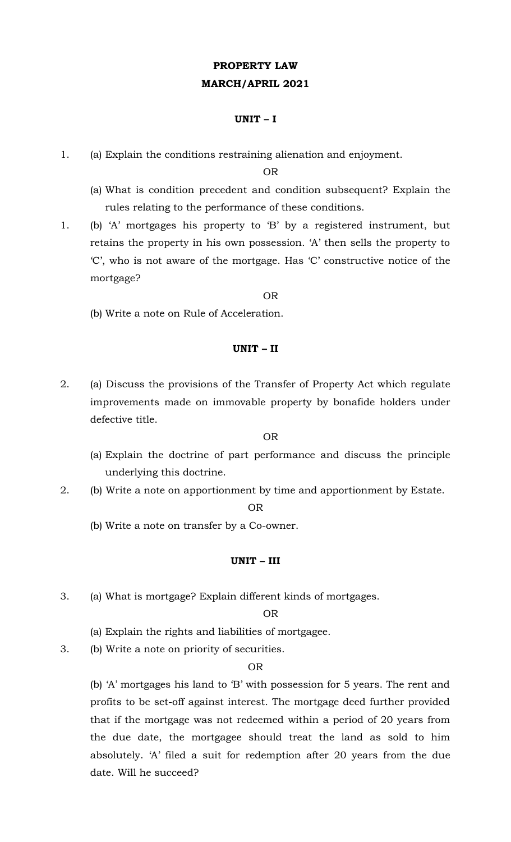# **PROPERTY LAW MARCH/APRIL 2021**

### **UNIT – I**

1. (a) Explain the conditions restraining alienation and enjoyment.

OR

- (a) What is condition precedent and condition subsequent? Explain the rules relating to the performance of these conditions.
- 1. (b) 'A' mortgages his property to 'B' by a registered instrument, but retains the property in his own possession. 'A' then sells the property to 'C', who is not aware of the mortgage. Has 'C' constructive notice of the mortgage?

OR

(b) Write a note on Rule of Acceleration.

## **UNIT – II**

2. (a) Discuss the provisions of the Transfer of Property Act which regulate improvements made on immovable property by bonafide holders under defective title.

OR

- (a) Explain the doctrine of part performance and discuss the principle underlying this doctrine.
- 2. (b) Write a note on apportionment by time and apportionment by Estate.

OR

(b) Write a note on transfer by a Co-owner.

## **UNIT – III**

3. (a) What is mortgage? Explain different kinds of mortgages.

#### OR

- (a) Explain the rights and liabilities of mortgagee.
- 3. (b) Write a note on priority of securities.

## OR

(b) 'A' mortgages his land to 'B' with possession for 5 years. The rent and profits to be set-off against interest. The mortgage deed further provided that if the mortgage was not redeemed within a period of 20 years from the due date, the mortgagee should treat the land as sold to him absolutely. 'A' filed a suit for redemption after 20 years from the due date. Will he succeed?